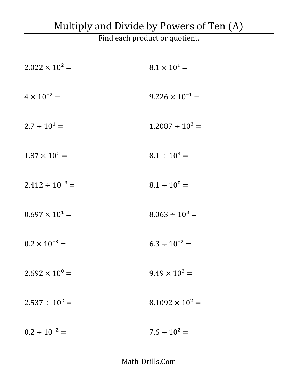## Multiply and Divide by Powers of Ten (A)

Find each product or quotient.

| $2.022 \times 10^2 =$   | $8.1 \times 10^{1} =$    |
|-------------------------|--------------------------|
| $4 \times 10^{-2} =$    | $9.226 \times 10^{-1} =$ |
| $2.7 \div 10^1 =$       | $1.2087 \div 10^3 =$     |
| $1.87 \times 10^{0} =$  | $8.1 \div 10^3 =$        |
| $2.412 \div 10^{-3} =$  | $8.1 \div 10^{0} =$      |
| $0.697 \times 10^{1} =$ | $8.063 \div 10^{3} =$    |
| $0.2 \times 10^{-3} =$  | $6.3 \div 10^{-2} =$     |
| $2.692 \times 10^{0} =$ | $9.49 \times 10^3 =$     |
| $2.537 \div 10^2 =$     | $8.1092 \times 10^{2} =$ |
| $0.2 \div 10^{-2} =$    | $7.6 \div 10^2 =$        |